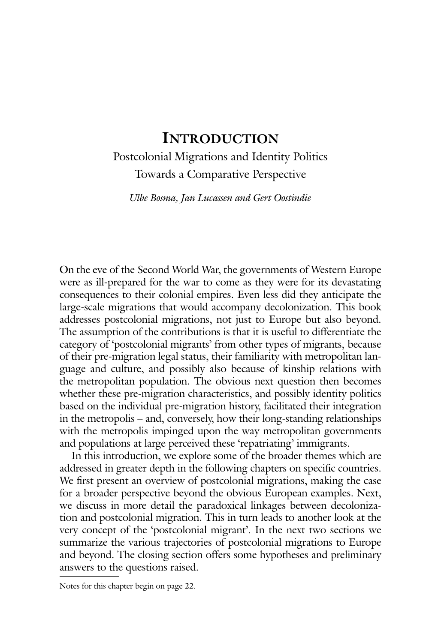# **Introduction**

# Postcolonial Migrations and Identity Politics Towards a Comparative Perspective

*Ulbe Bosma, Jan Lucassen and Gert Oostindie*

On the eve of the Second World War, the governments of Western Europe were as ill-prepared for the war to come as they were for its devastating consequences to their colonial empires. Even less did they anticipate the large-scale migrations that would accompany decolonization. This book addresses postcolonial migrations, not just to Europe but also beyond. The assumption of the contributions is that it is useful to differentiate the category of 'postcolonial migrants' from other types of migrants, because of their pre-migration legal status, their familiarity with metropolitan language and culture, and possibly also because of kinship relations with the metropolitan population. The obvious next question then becomes whether these pre-migration characteristics, and possibly identity politics based on the individual pre-migration history, facilitated their integration in the metropolis – and, conversely, how their long-standing relationships with the metropolis impinged upon the way metropolitan governments and populations at large perceived these 'repatriating' immigrants.

In this introduction, we explore some of the broader themes which are addressed in greater depth in the following chapters on specific countries. We first present an overview of postcolonial migrations, making the case for a broader perspective beyond the obvious European examples. Next, we discuss in more detail the paradoxical linkages between decolonization and postcolonial migration. This in turn leads to another look at the very concept of the 'postcolonial migrant'. In the next two sections we summarize the various trajectories of postcolonial migrations to Europe and beyond. The closing section offers some hypotheses and preliminary answers to the questions raised.

Notes for this chapter begin on page 22.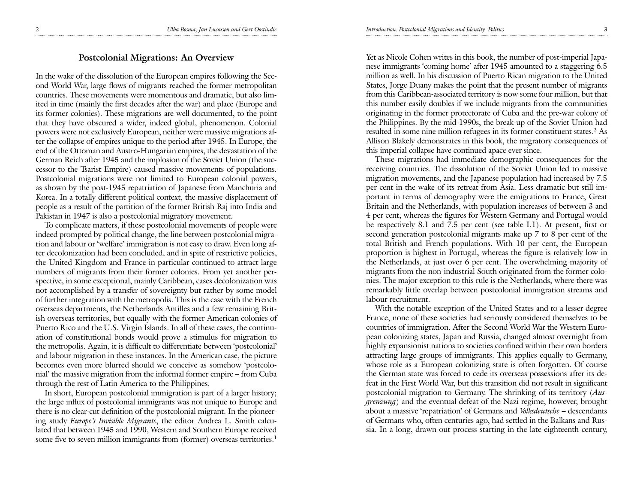### **Postcolonial Migrations: An Overview**

In the wake of the dissolution of the European empires following the Second World War, large flows of migrants reached the former metropolitan countries. These movements were momentous and dramatic, but also limited in time (mainly the first decades after the war) and place (Europe and its former colonies). These migrations are well documented, to the point that they have obscured a wider, indeed global, phenomenon. Colonial powers were not exclusively European, neither were massive migrations after the collapse of empires unique to the period after 1945. In Europe, the end of the Ottoman and Austro-Hungarian empires, the devastation of the German Reich after 1945 and the implosion of the Soviet Union (the successor to the Tsarist Empire) caused massive movements of populations. Postcolonial migrations were not limited to European colonial powers, as shown by the post-1945 repatriation of Japanese from Manchuria and Korea. In a totally different political context, the massive displacement of people as a result of the partition of the former British Raj into India and Pakistan in 1947 is also a postcolonial migratory movement.

To complicate matters, if these postcolonial movements of people were indeed prompted by political change, the line between postcolonial migration and labour or 'welfare' immigration is not easy to draw. Even long after decolonization had been concluded, and in spite of restrictive policies, the United Kingdom and France in particular continued to attract large numbers of migrants from their former colonies. From yet another perspective, in some exceptional, mainly Caribbean, cases decolonization was not accomplished by a transfer of sovereignty but rather by some model of further integration with the metropolis. This is the case with the French overseas departments, the Netherlands Antilles and a few remaining British overseas territories, but equally with the former American colonies of Puerto Rico and the U.S. Virgin Islands. In all of these cases, the continuation of constitutional bonds would prove a stimulus for migration to the metropolis. Again, it is difficult to differentiate between 'postcolonial' and labour migration in these instances. In the American case, the picture becomes even more blurred should we conceive as somehow 'postcolonial' the massive migration from the informal former empire – from Cuba through the rest of Latin America to the Philippines.

In short, European postcolonial immigration is part of a larger history; the large influx of postcolonial immigrants was not unique to Europe and there is no clear-cut definition of the postcolonial migrant. In the pioneering study *Europe's Invisible Migrants*, the editor Andrea L. Smith calculated that between 1945 and 1990, Western and Southern Europe received some five to seven million immigrants from (former) overseas territories.<sup>1</sup>

Yet as Nicole Cohen writes in this book, the number of post-imperial Japanese immigrants 'coming home' after 1945 amounted to a staggering 6.5 million as well. In his discussion of Puerto Rican migration to the United States, Jorge Duany makes the point that the present number of migrants from this Caribbean-associated territory is now some four million, but that this number easily doubles if we include migrants from the communities originating in the former protectorate of Cuba and the pre-war colony of the Philippines. By the mid-1990s, the break-up of the Soviet Union had resulted in some nine million refugees in its former constituent states.<sup>2</sup> As Allison Blakely demonstrates in this book, the migratory consequences of this imperial collapse have continued apace ever since.

These migrations had immediate demographic consequences for the receiving countries. The dissolution of the Soviet Union led to massive migration movements, and the Japanese population had increased by 7.5 per cent in the wake of its retreat from Asia. Less dramatic but still important in terms of demography were the emigrations to France, Great Britain and the Netherlands, with population increases of between 3 and 4 per cent, whereas the figures for Western Germany and Portugal would be respectively 8.1 and 7.5 per cent (see table I.1). At present, first or second generation postcolonial migrants make up 7 to 8 per cent of the total British and French populations. With 10 per cent, the European proportion is highest in Portugal, whereas the figure is relatively low in the Netherlands, at just over 6 per cent. The overwhelming majority of migrants from the non-industrial South originated from the former colonies. The major exception to this rule is the Netherlands, where there was remarkably little overlap between postcolonial immigration streams and labour recruitment.

With the notable exception of the United States and to a lesser degree France, none of these societies had seriously considered themselves to be countries of immigration. After the Second World War the Western European colonizing states, Japan and Russia, changed almost overnight from highly expansionist nations to societies confined within their own borders attracting large groups of immigrants. This applies equally to Germany, whose role as a European colonizing state is often forgotten. Of course the German state was forced to cede its overseas possessions after its defeat in the First World War, but this transition did not result in significant postcolonial migration to Germany. The shrinking of its territory (*Ausgrenzung*) and the eventual defeat of the Nazi regime, however, brought about a massive 'repatriation' of Germans and *Volksdeutsche* – descendants of Germans who, often centuries ago, had settled in the Balkans and Russia. In a long, drawn-out process starting in the late eighteenth century,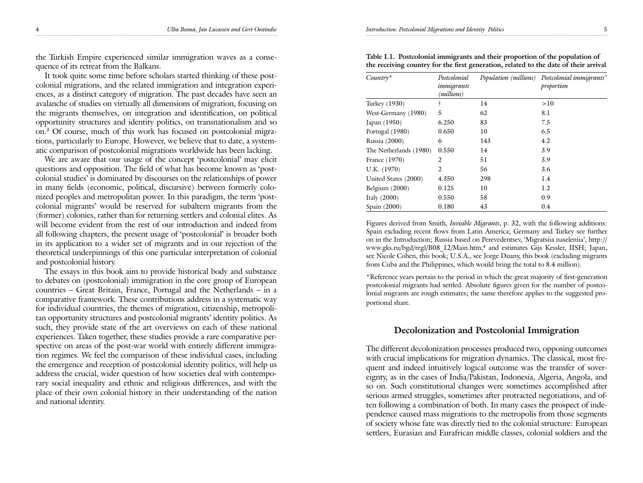the Turkish Empire experienced similar immigration waves as a consequence of its retreat from the Balkans.

It took quite some time before scholars started thinking of these postcolonial migrations, and the related immigration and integration experiences, as a distinct category of migration. The past decades have seen an avalanche of studies on virtually all dimensions of migration, focusing on the migrants themselves, on integration and identification, on political opportunity structures and identity politics, on transnationalism and so on.3 Of course, much of this work has focused on postcolonial migrations, particularly to Europe. However, we believe that to date, a systematic comparison of postcolonial migrations worldwide has been lacking.

We are aware that our usage of the concept 'postcolonial' may elicit questions and opposition. The field of what has become known as 'postcolonial studies' is dominated by discourses on the relationships of power in many fields (economic, political, discursive) between formerly colonized peoples and metropolitan power. In this paradigm, the term 'postcolonial migrants' would be reserved for subaltern migrants from the (former) colonies, rather than for returning settlers and colonial elites. As will become evident from the rest of our introduction and indeed from all following chapters, the present usage of 'postcolonial' is broader both in its application to a wider set of migrants and in our rejection of the theoretical underpinnings of this one particular interpretation of colonial and postcolonial history.

The essays in this book aim to provide historical body and substance to debates on (postcolonial) immigration in the core group of European countries – Great Britain, France, Portugal and the Netherlands – in a comparative framework. These contributions address in a systematic way for individual countries, the themes of migration, citizenship, metropolitan opportunity structures and postcolonial migrants' identity politics. As such, they provide state of the art overviews on each of these national experiences. Taken together, these studies provide a rare comparative perspective on areas of the post-war world with entirely different immigration regimes. We feel the comparison of these individual cases, including the emergence and reception of postcolonial identity politics, will help us address the crucial, wider question of how societies deal with contemporary social inequality and ethnic and religious differences, and with the place of their own colonial history in their understanding of the nation and national identity.

4 *Ulba Bosma, Jan Lucassen and Gert Oostindie Introduction. Postcolonial Migrations and Identity Politics* 5

| $Country*$             | Postcolonial<br>immigrants<br>(millions) |     | Population (millions) Postcolonial immigrants'<br>proportion |
|------------------------|------------------------------------------|-----|--------------------------------------------------------------|
| Turkey (1930)          |                                          | 14  | >10                                                          |
| West-Germany (1980)    | 5                                        | 62  | 8.1                                                          |
| Japan (1950)           | 6.250                                    | 83  | 7.5                                                          |
| Portugal (1980)        | 0.650                                    | 10  | 6.5                                                          |
| Russia (2000)          | 6                                        | 143 | 4.2                                                          |
| The Netherlands (1980) | 0.550                                    | 14  | 3.9                                                          |
| France (1970)          | 2                                        | 51  | 3.9                                                          |
| U.K. (1970)            | 2                                        | 56  | 3.6                                                          |
| United States (2000)   | 4.350                                    | 298 | 1.4                                                          |
| Belgium $(2000)$       | 0.125                                    | 10  | 1.2                                                          |
| Italy $(2000)$         | 0.550                                    | 58  | 0.9                                                          |
| Spain (2000)           | 0.180                                    | 43  | 0.4                                                          |

**Table I.1. Postcolonial immigrants and their proportion of the population of the receiving country for the first generation, related to the date of their arrival** 

Figures derived from Smith, *Invisible Migrants*, p. 32, with the following additions: Spain excluding recent flows from Latin America; Germany and Turkey see further on in the Introduction; Russia based on Perevedentsev, 'Migratsiia naseleniia', http:// www.gks.ru/bgd/regl/B08\_12/Main.htm,4 and estimates Gijs Kessler, IISH; Japan, see Nicole Cohen, this book; U.S.A., see Jorge Duany, this book (excluding migrants from Cuba and the Philippines, which would bring the total to 8.4 million).

\*Reference years pertain to the period in which the great majority of first-generation postcolonial migrants had settled. Absolute figures given for the number of postcolonial migrants are rough estimates; the same therefore applies to the suggested proportional share.

## **Decolonization and Postcolonial Immigration**

The different decolonization processes produced two, opposing outcomes with crucial implications for migration dynamics. The classical, most frequent and indeed intuitively logical outcome was the transfer of sovereignty, as in the cases of India/Pakistan, Indonesia, Algeria, Angola, and so on. Such constitutional changes were sometimes accomplished after serious armed struggles, sometimes after protracted negotiations, and often following a combination of both. In many cases the prospect of independence caused mass migrations to the metropolis from those segments of society whose fate was directly tied to the colonial structure: European settlers, Eurasian and Eurafrican middle classes, colonial soldiers and the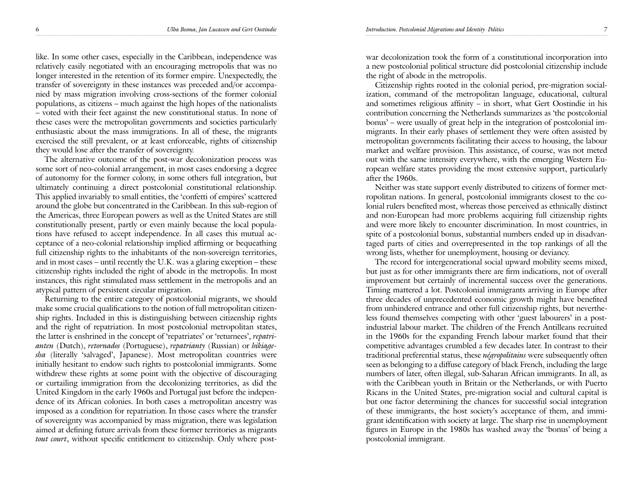like. In some other cases, especially in the Caribbean, independence was relatively easily negotiated with an encouraging metropolis that was no longer interested in the retention of its former empire. Unexpectedly, the transfer of sovereignty in these instances was preceded and/or accompanied by mass migration involving cross-sections of the former colonial populations, as citizens – much against the high hopes of the nationalists – voted with their feet against the new constitutional status. In none of these cases were the metropolitan governments and societies particularly enthusiastic about the mass immigrations. In all of these, the migrants exercised the still prevalent, or at least enforceable, rights of citizenship they would lose after the transfer of sovereignty.

The alternative outcome of the post-war decolonization process was some sort of neo-colonial arrangement, in most cases endorsing a degree of autonomy for the former colony, in some others full integration, but ultimately continuing a direct postcolonial constitutional relationship. This applied invariably to small entities, the 'confetti of empires' scattered around the globe but concentrated in the Caribbean. In this sub-region of the Americas, three European powers as well as the United States are still constitutionally present, partly or even mainly because the local populations have refused to accept independence. In all cases this mutual acceptance of a neo-colonial relationship implied affirming or bequeathing full citizenship rights to the inhabitants of the non-sovereign territories, and in most cases – until recently the U.K. was a glaring exception – these citizenship rights included the right of abode in the metropolis. In most instances, this right stimulated mass settlement in the metropolis and an atypical pattern of persistent circular migration.

Returning to the entire category of postcolonial migrants, we should make some crucial qualifications to the notion of full metropolitan citizenship rights. Included in this is distinguishing between citizenship rights and the right of repatriation. In most postcolonial metropolitan states, the latter is enshrined in the concept of 'repatriates' or 'returnees', *repatrianten* (Dutch), *retornados* (Portuguese), *repatrianty* (Russian) or *hikiagesha* (literally 'salvaged', Japanese). Most metropolitan countries were initially hesitant to endow such rights to postcolonial immigrants. Some withdrew these rights at some point with the objective of discouraging or curtailing immigration from the decolonizing territories, as did the United Kingdom in the early 1960s and Portugal just before the independence of its African colonies. In both cases a metropolitan ancestry was imposed as a condition for repatriation.In those cases where the transfer of sovereignty was accompanied by mass migration, there was legislation aimed at defining future arrivals from these former territories as migrants *tout court*, without specific entitlement to citizenship. Only where postwar decolonization took the form of a constitutional incorporation into a new postcolonial political structure did postcolonial citizenship include the right of abode in the metropolis.

Citizenship rights rooted in the colonial period, pre-migration socialization, command of the metropolitan language, educational, cultural and sometimes religious affinity – in short, what Gert Oostindie in his contribution concerning the Netherlands summarizes as 'the postcolonial bonus' – were usually of great help in the integration of postcolonial immigrants. In their early phases of settlement they were often assisted by metropolitan governments facilitating their access to housing, the labour market and welfare provision. This assistance, of course, was not meted out with the same intensity everywhere, with the emerging Western European welfare states providing the most extensive support, particularly after the 1960s.

Neither was state support evenly distributed to citizens of former metropolitan nations. In general, postcolonial immigrants closest to the colonial rulers benefited most, whereas those perceived as ethnically distinct and non-European had more problems acquiring full citizenship rights and were more likely to encounter discrimination. In most countries, in spite of a postcolonial bonus, substantial numbers ended up in disadvantaged parts of cities and overrepresented in the top rankings of all the wrong lists, whether for unemployment, housing or deviancy.

The record for intergenerational social upward mobility seems mixed, but just as for other immigrants there are firm indications, not of overall improvement but certainly of incremental success over the generations. Timing mattered a lot. Postcolonial immigrants arriving in Europe after three decades of unprecedented economic growth might have benefited from unhindered entrance and other full citizenship rights, but nevertheless found themselves competing with other 'guest labourers' in a postindustrial labour market. The children of the French Antilleans recruited in the 1960s for the expanding French labour market found that their competitive advantages crumbled a few decades later. In contrast to their traditional preferential status, these *négropolitains* were subsequently often seen as belonging to a diffuse category of black French, including the large numbers of later, often illegal, sub-Saharan African immigrants. In all, as with the Caribbean youth in Britain or the Netherlands, or with Puerto Ricans in the United States, pre-migration social and cultural capital is but one factor determining the chances for successful social integration of these immigrants, the host society's acceptance of them, and immigrant identification with society at large. The sharp rise in unemployment figures in Europe in the 1980s has washed away the 'bonus' of being a postcolonial immigrant.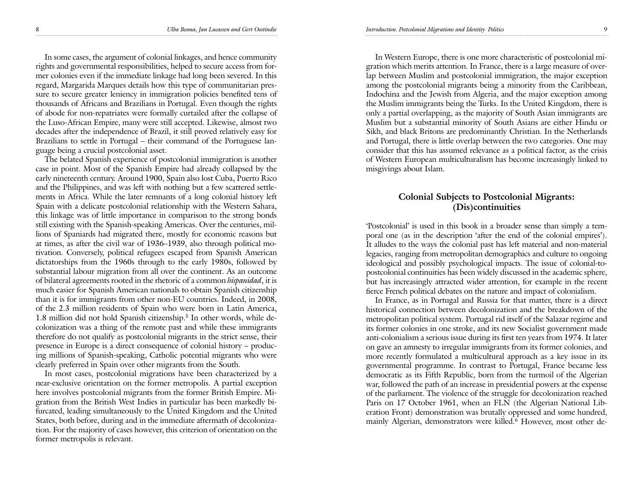In some cases, the argument of colonial linkages, and hence community rights and governmental responsibilities, helped to secure access from former colonies even if the immediate linkage had long been severed. In this regard, Margarida Marques details how this type of communitarian pressure to secure greater leniency in immigration policies benefited tens of thousands of Africans and Brazilians in Portugal. Even though the rights of abode for non-repatriates were formally curtailed after the collapse of the Luso-African Empire, many were still accepted. Likewise, almost two decades after the independence of Brazil, it still proved relatively easy for Brazilians to settle in Portugal – their command of the Portuguese language being a crucial postcolonial asset.

The belated Spanish experience of postcolonial immigration is another case in point. Most of the Spanish Empire had already collapsed by the early nineteenth century. Around 1900, Spain also lost Cuba, Puerto Rico and the Philippines, and was left with nothing but a few scattered settlements in Africa. While the later remnants of a long colonial history left Spain with a delicate postcolonial relationship with the Western Sahara, this linkage was of little importance in comparison to the strong bonds still existing with the Spanish-speaking Americas. Over the centuries, millions of Spaniards had migrated there, mostly for economic reasons but at times, as after the civil war of 1936–1939, also through political motivation. Conversely, political refugees escaped from Spanish American dictatorships from the 1960s through to the early 1980s, followed by substantial labour migration from all over the continent. As an outcome of bilateral agreements rooted in the rhetoric of a common *hispanidad*, it is much easier for Spanish American nationals to obtain Spanish citizenship than it is for immigrants from other non-EU countries. Indeed, in 2008, of the 2.3 million residents of Spain who were born in Latin America, 1.8 million did not hold Spanish citizenship.<sup>5</sup> In other words, while decolonization was a thing of the remote past and while these immigrants therefore do not qualify as postcolonial migrants in the strict sense, their presence in Europe is a direct consequence of colonial history – producing millions of Spanish-speaking, Catholic potential migrants who were clearly preferred in Spain over other migrants from the South.

In most cases, postcolonial migrations have been characterized by a near-exclusive orientation on the former metropolis. A partial exception here involves postcolonial migrants from the former British Empire. Migration from the British West Indies in particular has been markedly bifurcated, leading simultaneously to the United Kingdom and the United States, both before, during and in the immediate aftermath of decolonization. For the majority of cases however, this criterion of orientation on the former metropolis is relevant.

In Western Europe, there is one more characteristic of postcolonial migration which merits attention. In France, there is a large measure of overlap between Muslim and postcolonial immigration, the major exception among the postcolonial migrants being a minority from the Caribbean, Indochina and the Jewish from Algeria, and the major exception among the Muslim immigrants being the Turks. In the United Kingdom, there is only a partial overlapping, as the majority of South Asian immigrants are Muslim but a substantial minority of South Asians are either Hindu or Sikh, and black Britons are predominantly Christian. In the Netherlands and Portugal, there is little overlap between the two categories. One may consider that this has assumed relevance as a political factor, as the crisis of Western European multiculturalism has become increasingly linked to misgivings about Islam.

## **Colonial Subjects to Postcolonial Migrants: (Dis)continuities**

'Postcolonial' is used in this book in a broader sense than simply a temporal one (as in the description 'after the end of the colonial empires'). It alludes to the ways the colonial past has left material and non-material legacies, ranging from metropolitan demographics and culture to ongoing ideological and possibly psychological impacts. The issue of colonial-topostcolonial continuities has been widely discussed in the academic sphere, but has increasingly attracted wider attention, for example in the recent fierce French political debates on the nature and impact of colonialism.

In France, as in Portugal and Russia for that matter, there is a direct historical connection between decolonization and the breakdown of the metropolitan political system. Portugal rid itself of the Salazar regime and its former colonies in one stroke, and its new Socialist government made anti-colonialism a serious issue during its first ten years from 1974. It later on gave an amnesty to irregular immigrants from its former colonies, and more recently formulated a multicultural approach as a key issue in its governmental programme. In contrast to Portugal, France became less democratic as its Fifth Republic, born from the turmoil of the Algerian war, followed the path of an increase in presidential powers at the expense of the parliament. The violence of the struggle for decolonization reached Paris on 17 October 1961, when an FLN (the Algerian National Liberation Front) demonstration was brutally oppressed and some hundred, mainly Algerian, demonstrators were killed.<sup>6</sup> However, most other de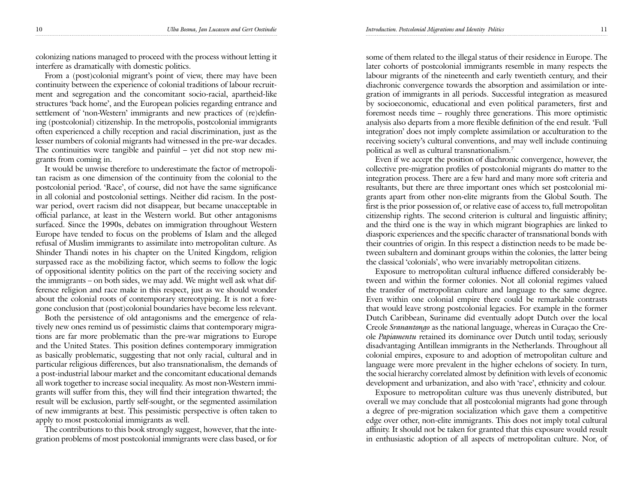colonizing nations managed to proceed with the process without letting it interfere as dramatically with domestic politics.

From a (post)colonial migrant's point of view, there may have been continuity between the experience of colonial traditions of labour recruitment and segregation and the concomitant socio-racial, apartheid-like structures 'back home', and the European policies regarding entrance and settlement of 'non-Western' immigrants and new practices of (re)defining (postcolonial) citizenship. In the metropolis, postcolonial immigrants often experienced a chilly reception and racial discrimination, just as the lesser numbers of colonial migrants had witnessed in the pre-war decades. The continuities were tangible and painful – yet did not stop new migrants from coming in.

It would be unwise therefore to underestimate the factor of metropolitan racism as one dimension of the continuity from the colonial to the postcolonial period. 'Race', of course, did not have the same significance in all colonial and postcolonial settings. Neither did racism. In the postwar period, overt racism did not disappear, but became unacceptable in official parlance, at least in the Western world. But other antagonisms surfaced. Since the 1990s, debates on immigration throughout Western Europe have tended to focus on the problems of Islam and the alleged refusal of Muslim immigrants to assimilate into metropolitan culture. As Shinder Thandi notes in his chapter on the United Kingdom, religion surpassed race as the mobilizing factor, which seems to follow the logic of oppositional identity politics on the part of the receiving society and the immigrants – on both sides, we may add. We might well ask what difference religion and race make in this respect, just as we should wonder about the colonial roots of contemporary stereotyping. It is not a foregone conclusion that (post)colonial boundaries have become less relevant.

Both the persistence of old antagonisms and the emergence of relatively new ones remind us of pessimistic claims that contemporary migrations are far more problematic than the pre-war migrations to Europe and the United States. This position defines contemporary immigration as basically problematic, suggesting that not only racial, cultural and in particular religious differences, but also transnationalism, the demands of a post-industrial labour market and the concomitant educational demands all work together to increase social inequality. As most non-Western immigrants will suffer from this, they will find their integration thwarted; the result will be exclusion, partly self-sought, or the segmented assimilation of new immigrants at best. This pessimistic perspective is often taken to apply to most postcolonial immigrants as well.

The contributions to this book strongly suggest, however, that the integration problems of most postcolonial immigrants were class based, or for some of them related to the illegal status of their residence in Europe. The later cohorts of postcolonial immigrants resemble in many respects the labour migrants of the nineteenth and early twentieth century, and their diachronic convergence towards the absorption and assimilation or integration of immigrants in all periods. Successful integration as measured by socioeconomic, educational and even political parameters, first and foremost needs time – roughly three generations. This more optimistic analysis also departs from a more flexible definition of the end result. 'Full integration' does not imply complete assimilation or acculturation to the receiving society's cultural conventions, and may well include continuing political as well as cultural transnationalism.7

Even if we accept the position of diachronic convergence, however, the collective pre-migration profiles of postcolonial migrants do matter to the integration process. There are a few hard and many more soft criteria and resultants, but there are three important ones which set postcolonial migrants apart from other non-elite migrants from the Global South. The first is the prior possession of, or relative ease of access to, full metropolitan citizenship rights. The second criterion is cultural and linguistic affinity; and the third one is the way in which migrant biographies are linked to diasporic experiences and the specific character of transnational bonds with their countries of origin. In this respect a distinction needs to be made between subaltern and dominant groups within the colonies, the latter being the classical 'colonials', who were invariably metropolitan citizens.

Exposure to metropolitan cultural influence differed considerably between and within the former colonies. Not all colonial regimes valued the transfer of metropolitan culture and language to the same degree. Even within one colonial empire there could be remarkable contrasts that would leave strong postcolonial legacies. For example in the former Dutch Caribbean, Suriname did eventually adopt Dutch over the local Creole *Sranantongo* as the national language, whereas in Curaçao the Creole *Papiamentu* retained its dominance over Dutch until today, seriously disadvantaging Antillean immigrants in the Netherlands. Throughout all colonial empires, exposure to and adoption of metropolitan culture and language were more prevalent in the higher echelons of society. In turn, the social hierarchy correlated almost by definition with levels of economic development and urbanization, and also with 'race', ethnicity and colour.

Exposure to metropolitan culture was thus unevenly distributed, but overall we may conclude that all postcolonial migrants had gone through a degree of pre-migration socialization which gave them a competitive edge over other, non-elite immigrants. This does not imply total cultural affinity. It should not be taken for granted that this exposure would result in enthusiastic adoption of all aspects of metropolitan culture. Nor, of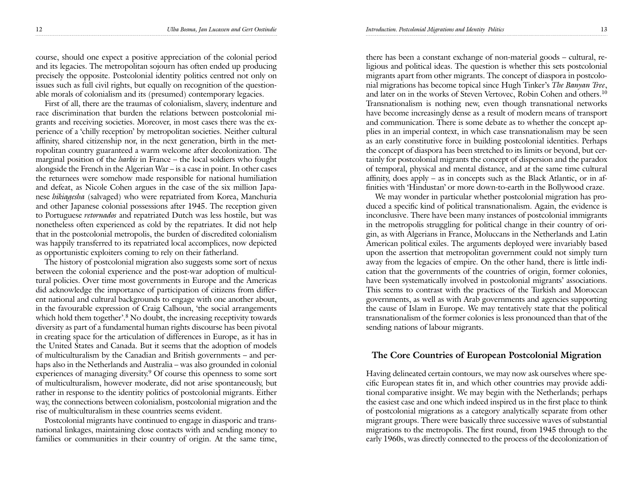course, should one expect a positive appreciation of the colonial period and its legacies. The metropolitan sojourn has often ended up producing precisely the opposite. Postcolonial identity politics centred not only on issues such as full civil rights, but equally on recognition of the questionable morals of colonialism and its (presumed) contemporary legacies.

First of all, there are the traumas of colonialism, slavery, indenture and race discrimination that burden the relations between postcolonial migrants and receiving societies. Moreover, in most cases there was the experience of a 'chilly reception' by metropolitan societies. Neither cultural affinity, shared citizenship nor, in the next generation, birth in the metropolitan country guaranteed a warm welcome after decolonization. The marginal position of the *harkis* in France – the local soldiers who fought alongside the French in the Algerian War – is a case in point. In other cases the returnees were somehow made responsible for national humiliation and defeat, as Nicole Cohen argues in the case of the six million Japanese *hikiagesha* (salvaged) who were repatriated from Korea, Manchuria and other Japanese colonial possessions after 1945. The reception given to Portuguese *retornados* and repatriated Dutch was less hostile, but was nonetheless often experienced as cold by the repatriates. It did not help that in the postcolonial metropolis, the burden of discredited colonialism was happily transferred to its repatriated local accomplices, now depicted as opportunistic exploiters coming to rely on their fatherland.

The history of postcolonial migration also suggests some sort of nexus between the colonial experience and the post-war adoption of multicultural policies. Over time most governments in Europe and the Americas did acknowledge the importance of participation of citizens from different national and cultural backgrounds to engage with one another about, in the favourable expression of Craig Calhoun, 'the social arrangements which hold them together'.<sup>8</sup> No doubt, the increasing receptivity towards diversity as part of a fundamental human rights discourse has been pivotal in creating space for the articulation of differences in Europe, as it has in the United States and Canada. But it seems that the adoption of models of multiculturalism by the Canadian and British governments – and perhaps also in the Netherlands and Australia – was also grounded in colonial experiences of managing diversity.<sup>9</sup> Of course this openness to some sort of multiculturalism, however moderate, did not arise spontaneously, but rather in response to the identity politics of postcolonial migrants. Either way, the connections between colonialism, postcolonial migration and the rise of multiculturalism in these countries seems evident.

Postcolonial migrants have continued to engage in diasporic and transnational linkages, maintaining close contacts with and sending money to families or communities in their country of origin. At the same time,

there has been a constant exchange of non-material goods – cultural, religious and political ideas. The question is whether this sets postcolonial migrants apart from other migrants. The concept of diaspora in postcolonial migrations has become topical since Hugh Tinker's *The Banyan Tree*, and later on in the works of Steven Vertovec, Robin Cohen and others.10 Transnationalism is nothing new, even though transnational networks have become increasingly dense as a result of modern means of transport and communication. There is some debate as to whether the concept applies in an imperial context, in which case transnationalism may be seen as an early constitutive force in building postcolonial identities. Perhaps the concept of diaspora has been stretched to its limits or beyond, but certainly for postcolonial migrants the concept of dispersion and the paradox of temporal, physical and mental distance, and at the same time cultural affinity, does apply – as in concepts such as the Black Atlantic, or in affinities with 'Hindustan' or more down-to-earth in the Bollywood craze.

We may wonder in particular whether postcolonial migration has produced a specific kind of political transnationalism. Again, the evidence is inconclusive. There have been many instances of postcolonial immigrants in the metropolis struggling for political change in their country of origin, as with Algerians in France, Moluccans in the Netherlands and Latin American political exiles. The arguments deployed were invariably based upon the assertion that metropolitan government could not simply turn away from the legacies of empire. On the other hand, there is little indication that the governments of the countries of origin, former colonies, have been systematically involved in postcolonial migrants' associations. This seems to contrast with the practices of the Turkish and Moroccan governments, as well as with Arab governments and agencies supporting the cause of Islam in Europe. We may tentatively state that the political transnationalism of the former colonies is less pronounced than that of the sending nations of labour migrants.

### **The Core Countries of European Postcolonial Migration**

Having delineated certain contours, we may now ask ourselves where specific European states fit in, and which other countries may provide additional comparative insight. We may begin with the Netherlands; perhaps the easiest case and one which indeed inspired us in the first place to think of postcolonial migrations as a category analytically separate from other migrant groups. There were basically three successive waves of substantial migrations to the metropolis. The first round, from 1945 through to the early 1960s, was directly connected to the process of the decolonization of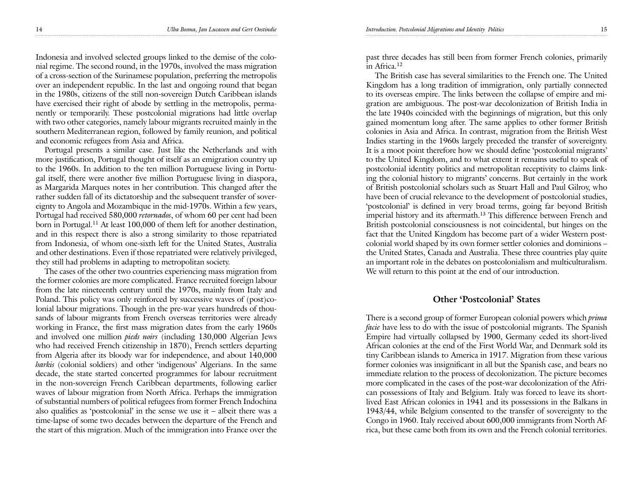Indonesia and involved selected groups linked to the demise of the colonial regime. The second round, in the 1970s, involved the mass migration of a cross-section of the Surinamese population, preferring the metropolis over an independent republic. In the last and ongoing round that began in the 1980s, citizens of the still non-sovereign Dutch Caribbean islands have exercised their right of abode by settling in the metropolis, permanently or temporarily. These postcolonial migrations had little overlap with two other categories, namely labour migrants recruited mainly in the southern Mediterranean region, followed by family reunion, and political and economic refugees from Asia and Africa.

Portugal presents a similar case. Just like the Netherlands and with more justification, Portugal thought of itself as an emigration country up to the 1960s. In addition to the ten million Portuguese living in Portugal itself, there were another five million Portuguese living in diaspora, as Margarida Marques notes in her contribution. This changed after the rather sudden fall of its dictatorship and the subsequent transfer of sovereignty to Angola and Mozambique in the mid-1970s. Within a few years, Portugal had received 580,000 *retornados*, of whom 60 per cent had been born in Portugal.<sup>11</sup> At least 100,000 of them left for another destination, and in this respect there is also a strong similarity to those repatriated from Indonesia, of whom one-sixth left for the United States, Australia and other destinations. Even if those repatriated were relatively privileged, they still had problems in adapting to metropolitan society.

The cases of the other two countries experiencing mass migration from the former colonies are more complicated. France recruited foreign labour from the late nineteenth century until the 1970s, mainly from Italy and Poland. This policy was only reinforced by successive waves of (post)colonial labour migrations. Though in the pre-war years hundreds of thousands of labour migrants from French overseas territories were already working in France, the first mass migration dates from the early 1960s and involved one million *pieds noirs* (including 130,000 Algerian Jews who had received French citizenship in 1870), French settlers departing from Algeria after its bloody war for independence, and about 140,000 *harkis* (colonial soldiers) and other 'indigenous' Algerians. In the same decade, the state started concerted programmes for labour recruitment in the non-sovereign French Caribbean departments, following earlier waves of labour migration from North Africa. Perhaps the immigration of substantial numbers of political refugees from former French Indochina also qualifies as 'postcolonial' in the sense we use it  $-$  albeit there was a time-lapse of some two decades between the departure of the French and the start of this migration. Much of the immigration into France over the

past three decades has still been from former French colonies, primarily in Africa.12

The British case has several similarities to the French one. The United Kingdom has a long tradition of immigration, only partially connected to its overseas empire. The links between the collapse of empire and migration are ambiguous. The post-war decolonization of British India in the late 1940s coincided with the beginnings of migration, but this only gained momentum long after. The same applies to other former British colonies in Asia and Africa. In contrast, migration from the British West Indies starting in the 1960s largely preceded the transfer of sovereignty. It is a moot point therefore how we should define 'postcolonial migrants' to the United Kingdom, and to what extent it remains useful to speak of postcolonial identity politics and metropolitan receptivity to claims linking the colonial history to migrants' concerns. But certainly in the work of British postcolonial scholars such as Stuart Hall and Paul Gilroy, who have been of crucial relevance to the development of postcolonial studies, 'postcolonial' is defined in very broad terms, going far beyond British imperial history and its aftermath.<sup>13</sup> This difference between French and British postcolonial consciousness is not coincidental, but hinges on the fact that the United Kingdom has become part of a wider Western postcolonial world shaped by its own former settler colonies and dominions – the United States, Canada and Australia. These three countries play quite an important role in the debates on postcolonialism and multiculturalism. We will return to this point at the end of our introduction.

#### **Other 'Postcolonial' States**

There is a second group of former European colonial powers which *prima facie* have less to do with the issue of postcolonial migrants. The Spanish Empire had virtually collapsed by 1900, Germany ceded its short-lived African colonies at the end of the First World War, and Denmark sold its tiny Caribbean islands to America in 1917. Migration from these various former colonies was insignificant in all but the Spanish case, and bears no immediate relation to the process of decolonization. The picture becomes more complicated in the cases of the post-war decolonization of the African possessions of Italy and Belgium. Italy was forced to leave its shortlived East African colonies in 1941 and its possessions in the Balkans in 1943/44, while Belgium consented to the transfer of sovereignty to the Congo in 1960. Italy received about 600,000 immigrants from North Africa, but these came both from its own and the French colonial territories.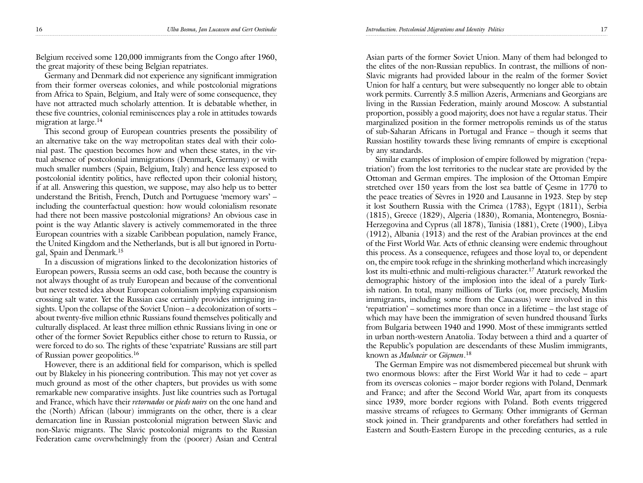16 *Ulba Bosma, Jan Lucassen and Gert Oostindie Introduction. Postcolonial Migrations and Identity Politics* 17

Belgium received some 120,000 immigrants from the Congo after 1960, the great majority of these being Belgian repatriates.

Germany and Denmark did not experience any significant immigration from their former overseas colonies, and while postcolonial migrations from Africa to Spain, Belgium, and Italy were of some consequence, they have not attracted much scholarly attention. It is debatable whether, in these five countries, colonial reminiscences play a role in attitudes towards migration at large.<sup>14</sup>

This second group of European countries presents the possibility of an alternative take on the way metropolitan states deal with their colonial past. The question becomes how and when these states, in the virtual absence of postcolonial immigrations (Denmark, Germany) or with much smaller numbers (Spain, Belgium, Italy) and hence less exposed to postcolonial identity politics, have reflected upon their colonial history, if at all. Answering this question, we suppose, may also help us to better understand the British, French, Dutch and Portuguese 'memory wars' – including the counterfactual question: how would colonialism resonate had there not been massive postcolonial migrations? An obvious case in point is the way Atlantic slavery is actively commemorated in the three European countries with a sizable Caribbean population, namely France, the United Kingdom and the Netherlands, but is all but ignored in Portugal, Spain and Denmark.15

In a discussion of migrations linked to the decolonization histories of European powers, Russia seems an odd case, both because the country is not always thought of as truly European and because of the conventional but never tested idea about European colonialism implying expansionism crossing salt water. Yet the Russian case certainly provides intriguing insights. Upon the collapse of the Soviet Union – a decolonization of sorts – about twenty-five million ethnic Russians found themselves politically and culturally displaced. At least three million ethnic Russians living in one or other of the former Soviet Republics either chose to return to Russia, or were forced to do so. The rights of these 'expatriate' Russians are still part of Russian power geopolitics.16

However, there is an additional field for comparison, which is spelled out by Blakeley in his pioneering contribution. This may not yet cover as much ground as most of the other chapters, but provides us with some remarkable new comparative insights. Just like countries such as Portugal and France, which have their *retornados* or *pieds noirs* on the one hand and the (North) African (labour) immigrants on the other, there is a clear demarcation line in Russian postcolonial migration between Slavic and non-Slavic migrants. The Slavic postcolonial migrants to the Russian Federation came overwhelmingly from the (poorer) Asian and Central

Asian parts of the former Soviet Union. Many of them had belonged to the elites of the non-Russian republics. In contrast, the millions of non-Slavic migrants had provided labour in the realm of the former Soviet Union for half a century, but were subsequently no longer able to obtain work permits. Currently 3.5 million Azeris, Armenians and Georgians are living in the Russian Federation, mainly around Moscow. A substantial proportion, possibly a good majority, does not have a regular status. Their marginalized position in the former metropolis reminds us of the status of sub-Saharan Africans in Portugal and France – though it seems that Russian hostility towards these living remnants of empire is exceptional by any standards.

Similar examples of implosion of empire followed by migration ('repatriation') from the lost territories to the nuclear state are provided by the Ottoman and German empires. The implosion of the Ottoman Empire stretched over 150 years from the lost sea battle of Çesme in 1770 to the peace treaties of Sèvres in 1920 and Lausanne in 1923. Step by step it lost Southern Russia with the Crimea (1783), Egypt (1811), Serbia (1815), Greece (1829), Algeria (1830), Romania, Montenegro, Bosnia-Herzegovina and Cyprus (all 1878), Tunisia (1881), Crete (1900), Libya (1912), Albania (1913) and the rest of the Arabian provinces at the end of the First World War. Acts of ethnic cleansing were endemic throughout this process. As a consequence, refugees and those loyal to, or dependent on, the empire took refuge in the shrinking motherland which increasingly lost its multi-ethnic and multi-religious character.<sup>17</sup> Ataturk reworked the demographic history of the implosion into the ideal of a purely Turkish nation. In total, many millions of Turks (or, more precisely, Muslim immigrants, including some from the Caucasus) were involved in this 'repatriation' – sometimes more than once in a lifetime – the last stage of which may have been the immigration of seven hundred thousand Turks from Bulgaria between 1940 and 1990. Most of these immigrants settled in urban north-western Anatolia. Today between a third and a quarter of the Republic's population are descendants of these Muslim immigrants, known as *Muhacir* or *Göçmen*. 18

The German Empire was not dismembered piecemeal but shrunk with two enormous blows: after the First World War it had to cede – apart from its overseas colonies – major border regions with Poland, Denmark and France; and after the Second World War, apart from its conquests since 1939, more border regions with Poland. Both events triggered massive streams of refugees to Germany. Other immigrants of German stock joined in. Their grandparents and other forefathers had settled in Eastern and South-Eastern Europe in the preceding centuries, as a rule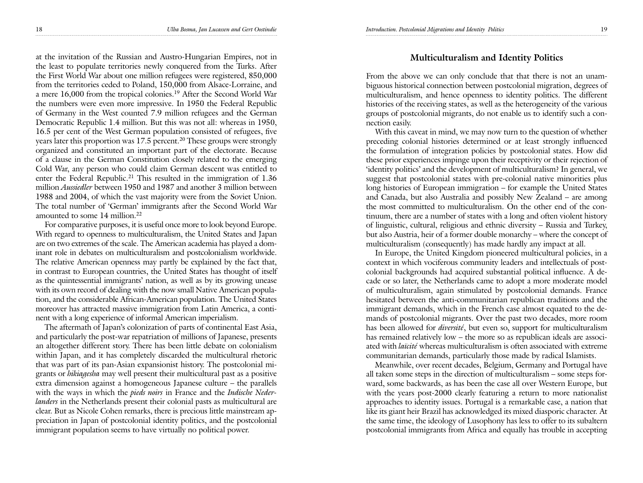at the invitation of the Russian and Austro-Hungarian Empires, not in the least to populate territories newly conquered from the Turks. After the First World War about one million refugees were registered, 850,000 from the territories ceded to Poland, 150,000 from Alsace-Lorraine, and a mere 16,000 from the tropical colonies.19 After the Second World War the numbers were even more impressive. In 1950 the Federal Republic of Germany in the West counted 7.9 million refugees and the German Democratic Republic 1.4 million. But this was not all: whereas in 1950, 16.5 per cent of the West German population consisted of refugees, five years later this proportion was 17.5 percent.<sup>20</sup> These groups were strongly organized and constituted an important part of the electorate. Because of a clause in the German Constitution closely related to the emerging Cold War, any person who could claim German descent was entitled to enter the Federal Republic.21 This resulted in the immigration of 1.36 million *Aussiedler* between 1950 and 1987 and another 3 million between 1988 and 2004, of which the vast majority were from the Soviet Union. The total number of 'German' immigrants after the Second World War amounted to some 14 million.22

For comparative purposes, it is useful once more to look beyond Europe. With regard to openness to multiculturalism, the United States and Japan are on two extremes of the scale. The American academia has played a dominant role in debates on multiculturalism and postcolonialism worldwide. The relative American openness may partly be explained by the fact that, in contrast to European countries, the United States has thought of itself as the quintessential immigrants' nation, as well as by its growing unease with its own record of dealing with the now small Native American population, and the considerable African-American population. The United States moreover has attracted massive immigration from Latin America, a continent with a long experience of informal American imperialism.

The aftermath of Japan's colonization of parts of continental East Asia, and particularly the post-war repatriation of millions of Japanese, presents an altogether different story. There has been little debate on colonialism within Japan, and it has completely discarded the multicultural rhetoric that was part of its pan-Asian expansionist history. The postcolonial migrants or *hikiagesha* may well present their multicultural past as a positive extra dimension against a homogeneous Japanese culture – the parallels with the ways in which the *pieds noirs* in France and the *Indische Nederlanders* in the Netherlands present their colonial pasts as multicultural are clear. But as Nicole Cohen remarks, there is precious little mainstream appreciation in Japan of postcolonial identity politics, and the postcolonial immigrant population seems to have virtually no political power.

# **Multiculturalism and Identity Politics**

From the above we can only conclude that that there is not an unambiguous historical connection between postcolonial migration, degrees of multiculturalism, and hence openness to identity politics. The different histories of the receiving states, as well as the heterogeneity of the various groups of postcolonial migrants, do not enable us to identify such a connection easily.

With this caveat in mind, we may now turn to the question of whether preceding colonial histories determined or at least strongly influenced the formulation of integration policies by postcolonial states. How did these prior experiences impinge upon their receptivity or their rejection of 'identity politics' and the development of multiculturalism? In general, we suggest that postcolonial states with pre-colonial native minorities plus long histories of European immigration – for example the United States and Canada, but also Australia and possibly New Zealand – are among the most committed to multiculturalism. On the other end of the continuum, there are a number of states with a long and often violent history of linguistic, cultural, religious and ethnic diversity – Russia and Turkey, but also Austria, heir of a former double monarchy – where the concept of multiculturalism (consequently) has made hardly any impact at all.

In Europe, the United Kingdom pioneered multicultural policies, in a context in which vociferous community leaders and intellectuals of postcolonial backgrounds had acquired substantial political influence. A decade or so later, the Netherlands came to adopt a more moderate model of multiculturalism, again stimulated by postcolonial demands. France hesitated between the anti-communitarian republican traditions and the immigrant demands, which in the French case almost equated to the demands of postcolonial migrants. Over the past two decades, more room has been allowed for *diversité*, but even so, support for multiculturalism has remained relatively low – the more so as republican ideals are associated with *laïcité* whereas multiculturalism is often associated with extreme communitarian demands, particularly those made by radical Islamists.

Meanwhile, over recent decades, Belgium, Germany and Portugal have all taken some steps in the direction of multiculturalism – some steps forward, some backwards, as has been the case all over Western Europe, but with the years post-2000 clearly featuring a return to more nationalist approaches to identity issues. Portugal is a remarkable case, a nation that like its giant heir Brazil has acknowledged its mixed diasporic character. At the same time, the ideology of Lusophony has less to offer to its subaltern postcolonial immigrants from Africa and equally has trouble in accepting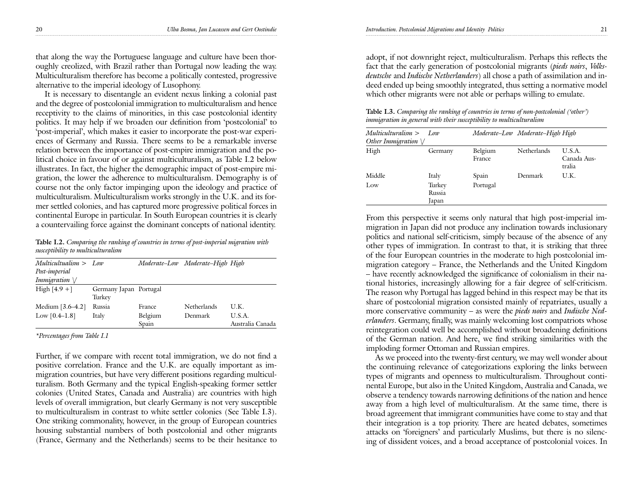that along the way the Portuguese language and culture have been thoroughly creolized, with Brazil rather than Portugal now leading the way. Multiculturalism therefore has become a politically contested, progressive alternative to the imperial ideology of Lusophony.

It is necessary to disentangle an evident nexus linking a colonial past and the degree of postcolonial immigration to multiculturalism and hence receptivity to the claims of minorities, in this case postcolonial identity politics. It may help if we broaden our definition from 'postcolonial' to 'post-imperial', which makes it easier to incorporate the post-war experiences of Germany and Russia. There seems to be a remarkable inverse relation between the importance of post-empire immigration and the political choice in favour of or against multiculturalism, as Table I.2 below illustrates. In fact, the higher the demographic impact of post-empire migration, the lower the adherence to multiculturalism. Demography is of course not the only factor impinging upon the ideology and practice of multiculturalism. Multiculturalism works strongly in the U.K. and its former settled colonies, and has captured more progressive political forces in continental Europe in particular. In South European countries it is clearly a countervailing force against the dominant concepts of national identity.

**Table I.2.** *Comparing the ranking of countries in terms of post-imperial migration with susceptibility to multiculturalism*

| Multiculturalism > Low |                                  |                  | Moderate-Low Moderate-High High |                            |
|------------------------|----------------------------------|------------------|---------------------------------|----------------------------|
| Post-imperial          |                                  |                  |                                 |                            |
| Immigration $\vee$     |                                  |                  |                                 |                            |
| High $[4.9 +]$         | Germany Japan Portugal<br>Turkey |                  |                                 |                            |
| Medium $[3.6 - 4.2]$   | Russia                           | France           | <b>Netherlands</b>              | U.K.                       |
| Low $[0.4-1.8]$        | Italy                            | Belgium<br>Spain | Denmark                         | U.S.A.<br>Australia Canada |

*\*Percentages from Table I.1*

Further, if we compare with recent total immigration, we do not find a positive correlation. France and the U.K. are equally important as immigration countries, but have very different positions regarding multiculturalism. Both Germany and the typical English-speaking former settler colonies (United States, Canada and Australia) are countries with high levels of overall immigration, but clearly Germany is not very susceptible to multiculturalism in contrast to white settler colonies (See Table I.3). One striking commonality, however, in the group of European countries housing substantial numbers of both postcolonial and other migrants (France, Germany and the Netherlands) seems to be their hesitance to

adopt, if not downright reject, multiculturalism. Perhaps this reflects the fact that the early generation of postcolonial migrants (*pieds noirs*, *Volksdeutsche* and *Indische Netherlanders*) all chose a path of assimilation and indeed ended up being smoothly integrated, thus setting a normative model which other migrants were not able or perhaps willing to emulate.

**Table I.3.** *Comparing the ranking of countries in terms of non-postcolonial ('other') immigration in general with their susceptibility to multiculturalism*

| Multiculturalism > Low<br>Other Immigration $\vee$ |                           |                   | Moderate–Low Moderate–High High |                                 |
|----------------------------------------------------|---------------------------|-------------------|---------------------------------|---------------------------------|
| High                                               | Germany                   | Belgium<br>France | <b>Netherlands</b>              | U.S.A.<br>Canada Aus-<br>tralia |
| Middle                                             | Italy                     | Spain             | Denmark                         | U.K.                            |
| Low                                                | Turkey<br>Russia<br>Japan | Portugal          |                                 |                                 |

From this perspective it seems only natural that high post-imperial immigration in Japan did not produce any inclination towards inclusionary politics and national self-criticism, simply because of the absence of any other types of immigration. In contrast to that, it is striking that three of the four European countries in the moderate to high postcolonial immigration category – France, the Netherlands and the United Kingdom – have recently acknowledged the significance of colonialism in their national histories, increasingly allowing for a fair degree of self-criticism. The reason why Portugal has lagged behind in this respect may be that its share of postcolonial migration consisted mainly of repatriates, usually a more conservative community – as were the *pieds noirs* and *Indische Nederlanders*. Germany, finally, was mainly welcoming lost compatriots whose reintegration could well be accomplished without broadening definitions of the German nation. And here, we find striking similarities with the imploding former Ottoman and Russian empires.

As we proceed into the twenty-first century, we may well wonder about the continuing relevance of categorizations exploring the links between types of migrants and openness to multiculturalism. Throughout continental Europe, but also in the United Kingdom, Australia and Canada, we observe a tendency towards narrowing definitions of the nation and hence away from a high level of multiculturalism. At the same time, there is broad agreement that immigrant communities have come to stay and that their integration is a top priority. There are heated debates, sometimes attacks on 'foreigners' and particularly Muslims, but there is no silencing of dissident voices, and a broad acceptance of postcolonial voices. In